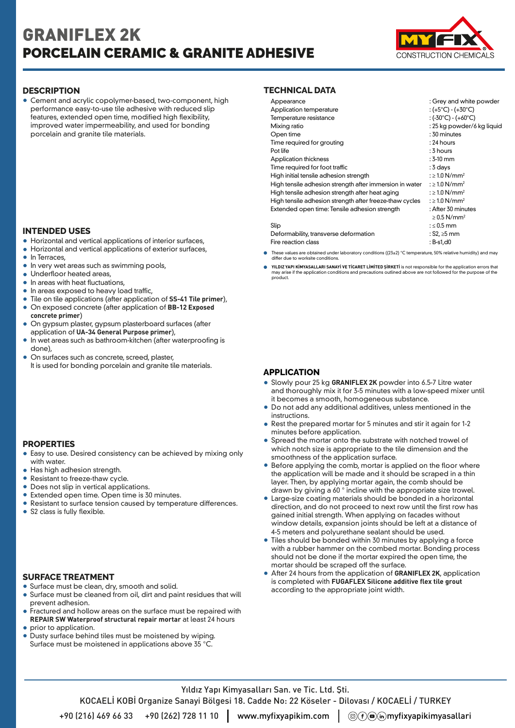# GRANIFLEX 2K PORCELAIN CERAMIC & GRANITE ADHESIVE



Cement and acrylic copolymer-based, two-component, high performance easy-to-use tile adhesive with reduced slip features, extended open time, modified high flexibility, improved water impermeability, and used for bonding porcelain and granite tile materials.

### **INTENDED USES**

- Horizontal and vertical applications of interior surfaces,
- Horizontal and vertical applications of exterior surfaces,
- In Terraces,
- **In very wet areas such as swimming pools,**
- Underfloor heated areas,
- $\bullet$  In areas with heat fluctuations,
- $\bullet$  In areas exposed to heavy load traffic,
- Tile on tile applications (after application of **SS-41 Tile primer**),
- On exposed concrete (after application of **BB-12 Exposed concrete primer**)
- On gypsum plaster, gypsum plasterboard surfaces (after application of **UA-34 General Purpose primer**),
- In wet areas such as bathroom-kitchen (after waterproofing is done),
- On surfaces such as concrete, screed, plaster, It is used for bonding porcelain and granite tile materials.

# **PROPERTIES**

- Easy to use. Desired consistency can be achieved by mixing only with water.
- Has high adhesion strength.
- Resistant to freeze-thaw cycle.
- Does not slip in vertical applications.
- Extended open time. Open time is 30 minutes.
- Resistant to surface tension caused by temperature differences.
- S2 class is fully flexible.

### **SURFACE TREATMENT**

- Surface must be clean, dry, smooth and solid.
- Surface must be cleaned from oil, dirt and paint residues that will prevent adhesion.
- Fractured and hollow areas on the surface must be repaired with **REPAIR SW Waterproof structural repair mortar** at least 24 hours
- prior to application.  $\bullet$
- Dusty surface behind tiles must be moistened by wiping. Surface must be moistened in applications above 35 °C.

# **DESCRIPTION TECHNICAL DATA**

| Appearance                                              | : Grey and white powder             |
|---------------------------------------------------------|-------------------------------------|
| Application temperature                                 | : (+5°C) - (+30°C)                  |
| Temperature resistance                                  | : $(-30^{\circ}C) - (+60^{\circ}C)$ |
| Mixing ratio                                            | : 25 kg powder/6 kg liguid          |
| Open time                                               | : 30 minutes                        |
| Time required for grouting                              | $: 24$ hours                        |
| Pot life                                                | : 3 hours                           |
| Application thickness                                   | : 3-10 mm                           |
| Time required for foot traffic                          | : 3 days                            |
| High initial tensile adhesion strength                  | $: \geq 1.0$ N/mm <sup>2</sup>      |
| High tensile adhesion strength after immersion in water | : $\geq$ 1.0 N/mm <sup>2</sup>      |
| High tensile adhesion strength after heat aging         | $: \geq 1.0$ N/mm <sup>2</sup>      |
| High tensile adhesion strength after freeze-thaw cycles | : $\geq$ 1.0 N/mm <sup>2</sup>      |
| Extended open time: Tensile adhesion strength           | : After 30 minutes                  |
|                                                         | $\geq$ 0.5 N/mm <sup>2</sup>        |
| Slip                                                    | $: \leq 0.5$ mm                     |
| Deformability, transverse deformation                   | : $S2 \geq 5$ mm                    |
| Fire reaction class                                     | $:B-s1,00$                          |

Fire reaction class

- These values are obtained under laboratory conditions ((23±2) °C temperature, 50% relative humidity) and may differ due to worksite conditions.
- **YILDIZ YAPI KİMYASALLARI SANAYİ VE TİCARET LİMİTED ŞİRKETİ** is not responsible for the application errors that may arise if the application conditions and precautions outlined above are not followed for the purpose of the product.

# **APPLICATION**

- Slowly pour 25 kg **GRANIFLEX 2K** powder into 6.5-7 Litre water and thoroughly mix it for 3-5 minutes with a low-speed mixer until it becomes a smooth, homogeneous substance.
- Do not add any additional additives, unless mentioned in the instructions.
- Rest the prepared mortar for 5 minutes and stir it again for 1-2 minutes before application.
- Spread the mortar onto the substrate with notched trowel of which notch size is appropriate to the tile dimension and the smoothness of the application surface.
- Before applying the comb, mortar is applied on the floor where the application will be made and it should be scraped in a thin layer. Then, by applying mortar again, the comb should be drawn by giving a 60 ° incline with the appropriate size trowel.
- Large-size coating materials should be bonded in a horizontal direction, and do not proceed to next row until the first row has gained initial strength. When applying on facades without window details, expansion joints should be left at a distance of 4-5 meters and polyurethane sealant should be used.
- Tiles should be bonded within 30 minutes by applying a force with a rubber hammer on the combed mortar. Bonding process should not be done if the mortar expired the open time, the mortar should be scraped off the surface.
- After 24 hours from the application of **GRANIFLEX 2K**, application is completed with **FUGAFLEX Silicone additive flex tile grout** according to the appropriate joint width.

Yıldız Yapı Kimyasalları San. ve Tic. Ltd. Şti.

KOCAELİ KOBİ Organize Sanayi Bölgesi 18. Cadde No: 22 Köseler - Dilovası / KOCAELİ / TURKEY